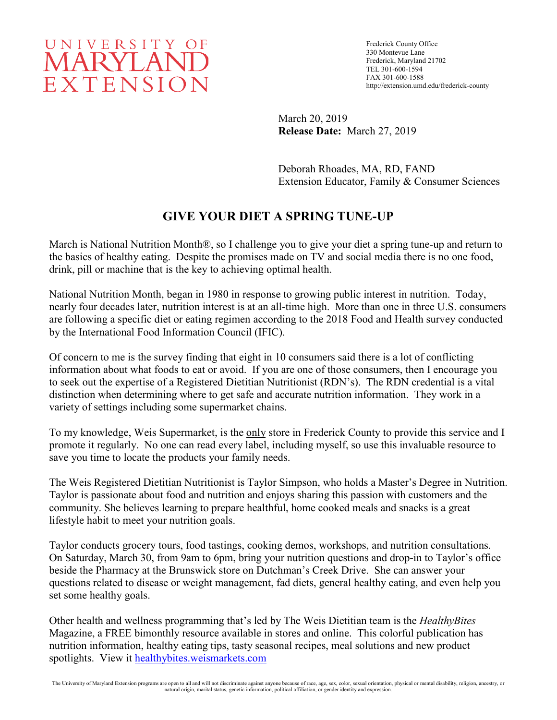## UNIVERSITY OF **MARYLAND** EXTENSION

Frederick County Office 330 Montevue Lane Frederick, Maryland 21702 TEL 301-600-1594 FAX 301-600-1588 http://extension.umd.edu/frederick-county

March 20, 2019 **Release Date:** March 27, 2019

Deborah Rhoades, MA, RD, FAND Extension Educator, Family & Consumer Sciences

## **GIVE YOUR DIET A SPRING TUNE-UP**

March is National Nutrition Month®, so I challenge you to give your diet a spring tune-up and return to the basics of healthy eating. Despite the promises made on TV and social media there is no one food, drink, pill or machine that is the key to achieving optimal health.

National Nutrition Month, began in 1980 in response to growing public interest in nutrition. Today, nearly four decades later, nutrition interest is at an all-time high. More than one in three U.S. consumers are following a specific diet or eating regimen according to the 2018 Food and Health survey conducted by the International Food Information Council (IFIC).

Of concern to me is the survey finding that eight in 10 consumers said there is a lot of conflicting information about what foods to eat or avoid. If you are one of those consumers, then I encourage you to seek out the expertise of a Registered Dietitian Nutritionist (RDN's). The RDN credential is a vital distinction when determining where to get safe and accurate nutrition information. They work in a variety of settings including some supermarket chains.

To my knowledge, Weis Supermarket, is the only store in Frederick County to provide this service and I promote it regularly. No one can read every label, including myself, so use this invaluable resource to save you time to locate the products your family needs.

The Weis Registered Dietitian Nutritionist is Taylor Simpson, who holds a Master's Degree in Nutrition. Taylor is passionate about food and nutrition and enjoys sharing this passion with customers and the community. She believes learning to prepare healthful, home cooked meals and snacks is a great lifestyle habit to meet your nutrition goals.

Taylor conducts grocery tours, food tastings, cooking demos, workshops, and nutrition consultations. On Saturday, March 30, from 9am to 6pm, bring your nutrition questions and drop-in to Taylor's office beside the Pharmacy at the Brunswick store on Dutchman's Creek Drive. She can answer your questions related to disease or weight management, fad diets, general healthy eating, and even help you set some healthy goals.

Other health and wellness programming that's led by The Weis Dietitian team is the *HealthyBites* Magazine, a FREE bimonthly resource available in stores and online. This colorful publication has nutrition information, healthy eating tips, tasty seasonal recipes, meal solutions and new product spotlights. View it [healthybites.weismarkets.com](http://healthybites.weismarkets.com/)